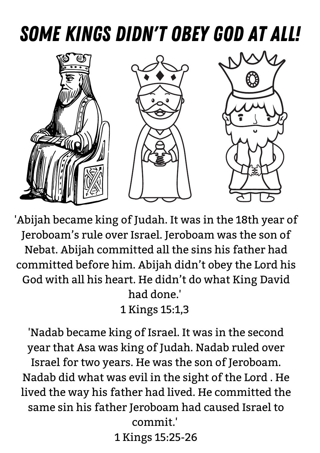## Some kings didn't obey God at all!



'Abijah became king of Judah. It was in the 18th year of Jeroboam's rule over Israel. Jeroboam was the son of Nebat. Abijah committed all the sins his father had committed before him. Abijah didn't obey the Lord his God with all his heart. He didn't do what King David had done.' 1 Kings 15:1,3

'Nadab became king of Israel. It was in the second year that Asa was king of Judah. Nadab ruled over Israel for two years. He was the son of Jeroboam. Nadab did what was evil in the sight of the Lord . He lived the way his father had lived. He committed the same sin his father Jeroboam had caused Israel to commit.' 1 Kings 15:25-26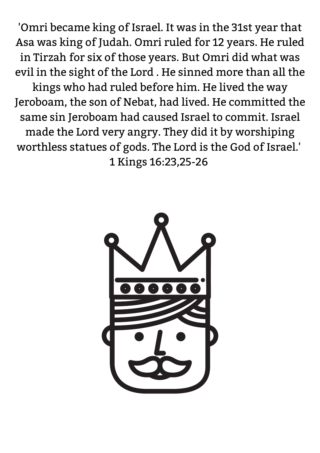'Omri became king of Israel. It was in the 31st year that Asa was king of Judah. Omri ruled for 12 years. He ruled in Tirzah for six of those years. But Omri did what was evil in the sight of the Lord . He sinned more than all the kings who had ruled before him. He lived the way Jeroboam, the son of Nebat, had lived. He committed the same sin Jeroboam had caused Israel to commit. Israel made the Lord very angry. They did it by worshiping worthless statues of gods. The Lord is the God of Israel.' 1 Kings 16:23,25-26